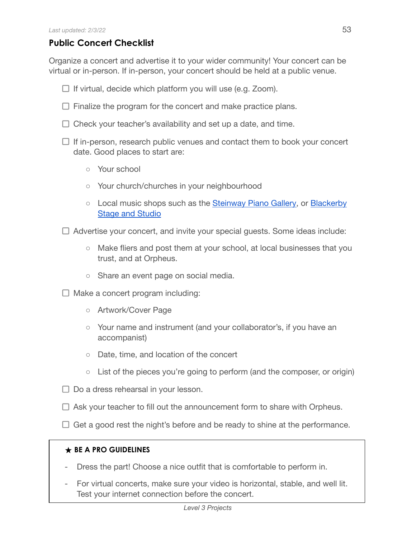## **Public Concert Checklist**

Organize a concert and advertise it to your wider community! Your concert can be virtual or in-person. If in-person, your concert should be held at a public venue.

- $\Box$  If virtual, decide which platform you will use (e.g. Zoom).
- $\Box$  Finalize the program for the concert and make practice plans.
- $\Box$  Check your teacher's availability and set up a date, and time.
- $\Box$  If in-person, research public venues and contact them to book your concert date. Good places to start are:
	- Your school
	- Your church/churches in your neighbourhood
	- Local music shops such as the [Steinway Piano](http://www.steinwayofaustin.com/) Gallery, or [Blackerby](https://stageandstudio.com/) Stage and [Studio](https://stageandstudio.com/)
- $\Box$  Advertise your concert, and invite your special guests. Some ideas include:
	- Make fliers and post them at your school, at local businesses that you trust, and at Orpheus.
	- Share an event page on social media.
- $\Box$  Make a concert program including:
	- Artwork/Cover Page
	- Your name and instrument (and your collaborator's, if you have an accompanist)
	- Date, time, and location of the concert
	- List of the pieces you're going to perform (and the composer, or origin)
- $\Box$  Do a dress rehearsal in your lesson.
- $\Box$  Ask your teacher to fill out the announcement form to share with Orpheus.
- $\Box$  Get a good rest the night's before and be ready to shine at the performance.

## **★ BE A PRO GUIDELINES**

- Dress the part! Choose a nice outfit that is comfortable to perform in.
- For virtual concerts, make sure your video is horizontal, stable, and well lit. Test your internet connection before the concert.